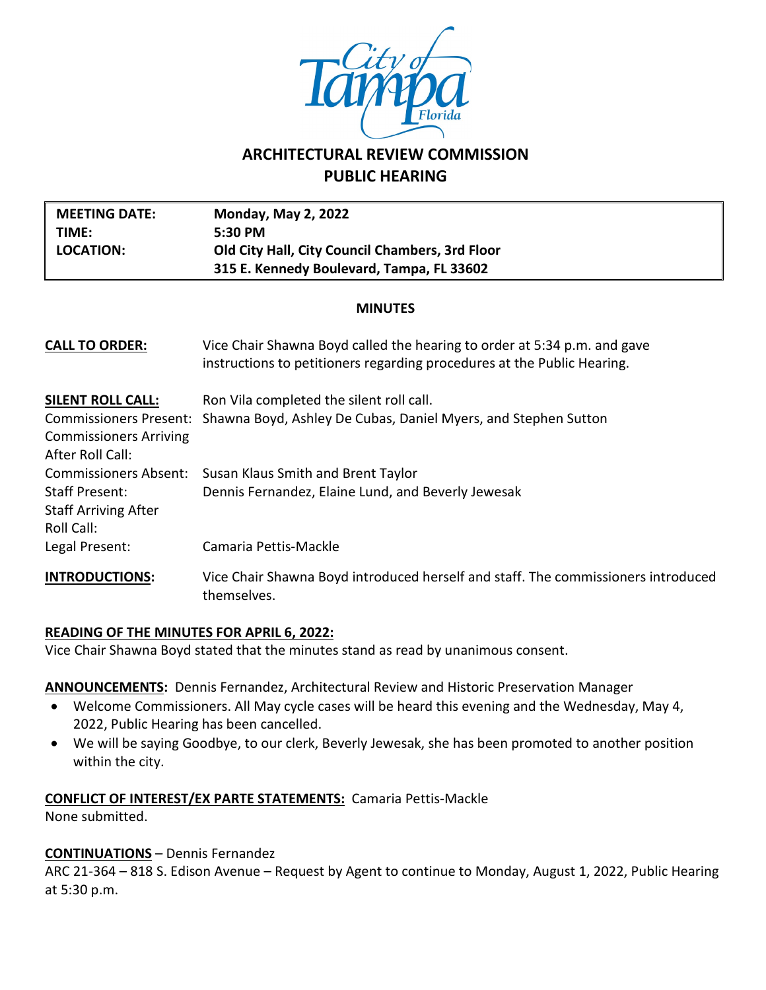

# **ARCHITECTURAL REVIEW COMMISSION PUBLIC HEARING**

| <b>MEETING DATE:</b><br>TIME:<br><b>LOCATION:</b>                                                              | <b>Monday, May 2, 2022</b><br>5:30 PM<br>Old City Hall, City Council Chambers, 3rd Floor<br>315 E. Kennedy Boulevard, Tampa, FL 33602               |  |  |  |
|----------------------------------------------------------------------------------------------------------------|-----------------------------------------------------------------------------------------------------------------------------------------------------|--|--|--|
| <b>MINUTES</b>                                                                                                 |                                                                                                                                                     |  |  |  |
| <b>CALL TO ORDER:</b>                                                                                          | Vice Chair Shawna Boyd called the hearing to order at 5:34 p.m. and gave<br>instructions to petitioners regarding procedures at the Public Hearing. |  |  |  |
| <b>SILENT ROLL CALL:</b><br><b>Commissioners Present:</b><br><b>Commissioners Arriving</b><br>After Roll Call: | Ron Vila completed the silent roll call.<br>Shawna Boyd, Ashley De Cubas, Daniel Myers, and Stephen Sutton                                          |  |  |  |
| <b>Commissioners Absent:</b><br><b>Staff Present:</b><br><b>Staff Arriving After</b><br>Roll Call:             | Susan Klaus Smith and Brent Taylor<br>Dennis Fernandez, Elaine Lund, and Beverly Jewesak                                                            |  |  |  |
| Legal Present:<br><b>INTRODUCTIONS:</b>                                                                        | Camaria Pettis-Mackle<br>Vice Chair Shawna Boyd introduced herself and staff. The commissioners introduced<br>themselves.                           |  |  |  |

## **READING OF THE MINUTES FOR APRIL 6, 2022:**

Vice Chair Shawna Boyd stated that the minutes stand as read by unanimous consent.

## **ANNOUNCEMENTS:** Dennis Fernandez, Architectural Review and Historic Preservation Manager

- Welcome Commissioners. All May cycle cases will be heard this evening and the Wednesday, May 4, 2022, Public Hearing has been cancelled.
- We will be saying Goodbye, to our clerk, Beverly Jewesak, she has been promoted to another position within the city.

#### **CONFLICT OF INTEREST/EX PARTE STATEMENTS:** Camaria Pettis-Mackle

None submitted.

## **CONTINUATIONS** – Dennis Fernandez

ARC 21-364 – 818 S. Edison Avenue – Request by Agent to continue to Monday, August 1, 2022, Public Hearing at 5:30 p.m.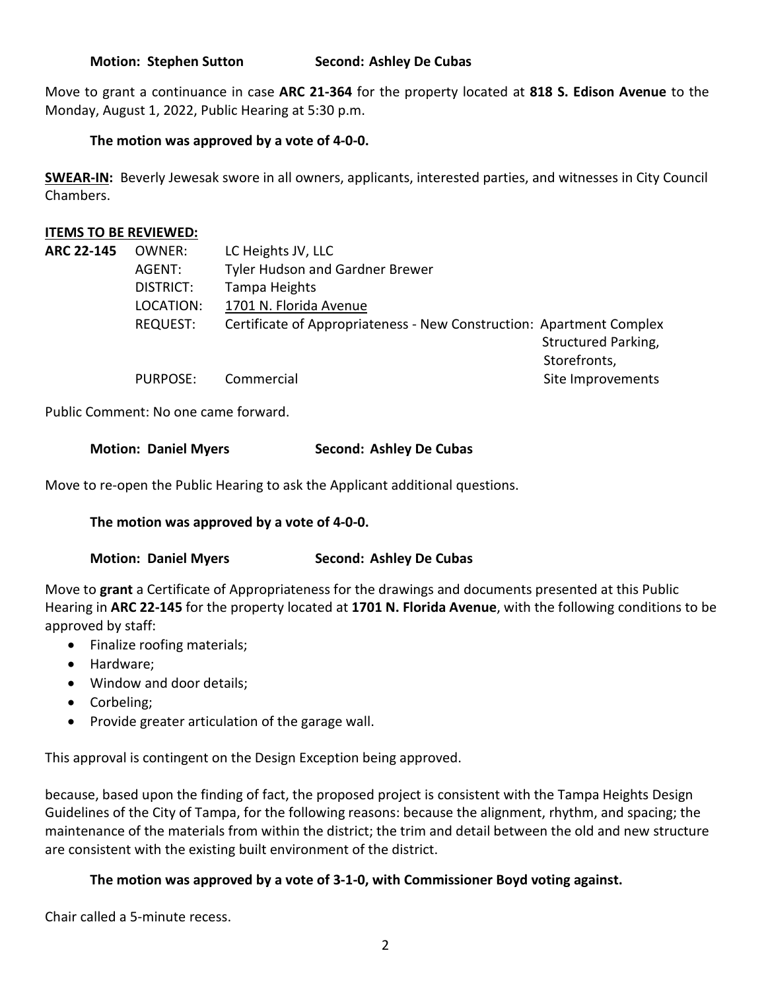**Motion: Stephen Sutton Second: Ashley De Cubas** 

Move to grant a continuance in case **ARC 21-364** for the property located at **818 S. Edison Avenue** to the Monday, August 1, 2022, Public Hearing at 5:30 p.m.

## **The motion was approved by a vote of 4-0-0.**

**SWEAR-IN:** Beverly Jewesak swore in all owners, applicants, interested parties, and witnesses in City Council Chambers.

## **ITEMS TO BE REVIEWED:**

| <b>ARC 22-145</b> | OWNER:          | LC Heights JV, LLC                                                   |                     |
|-------------------|-----------------|----------------------------------------------------------------------|---------------------|
|                   | AGENT:          | <b>Tyler Hudson and Gardner Brewer</b>                               |                     |
|                   | DISTRICT:       | Tampa Heights                                                        |                     |
|                   | LOCATION:       | 1701 N. Florida Avenue                                               |                     |
|                   | <b>REQUEST:</b> | Certificate of Appropriateness - New Construction: Apartment Complex |                     |
|                   |                 |                                                                      | Structured Parking, |
|                   |                 |                                                                      | Storefronts,        |
|                   | <b>PURPOSE:</b> | Commercial                                                           | Site Improvements   |

Public Comment: No one came forward.

## **Motion: Daniel Myers Second: Ashley De Cubas**

Move to re-open the Public Hearing to ask the Applicant additional questions.

## **The motion was approved by a vote of 4-0-0.**

## **Motion: Daniel Myers Second: Ashley De Cubas**

Move to **grant** a Certificate of Appropriateness for the drawings and documents presented at this Public Hearing in **ARC 22-145** for the property located at **1701 N. Florida Avenue**, with the following conditions to be approved by staff:

- Finalize roofing materials;
- Hardware;
- Window and door details;
- Corbeling;
- Provide greater articulation of the garage wall.

This approval is contingent on the Design Exception being approved.

because, based upon the finding of fact, the proposed project is consistent with the Tampa Heights Design Guidelines of the City of Tampa, for the following reasons: because the alignment, rhythm, and spacing; the maintenance of the materials from within the district; the trim and detail between the old and new structure are consistent with the existing built environment of the district.

## **The motion was approved by a vote of 3-1-0, with Commissioner Boyd voting against.**

Chair called a 5-minute recess.